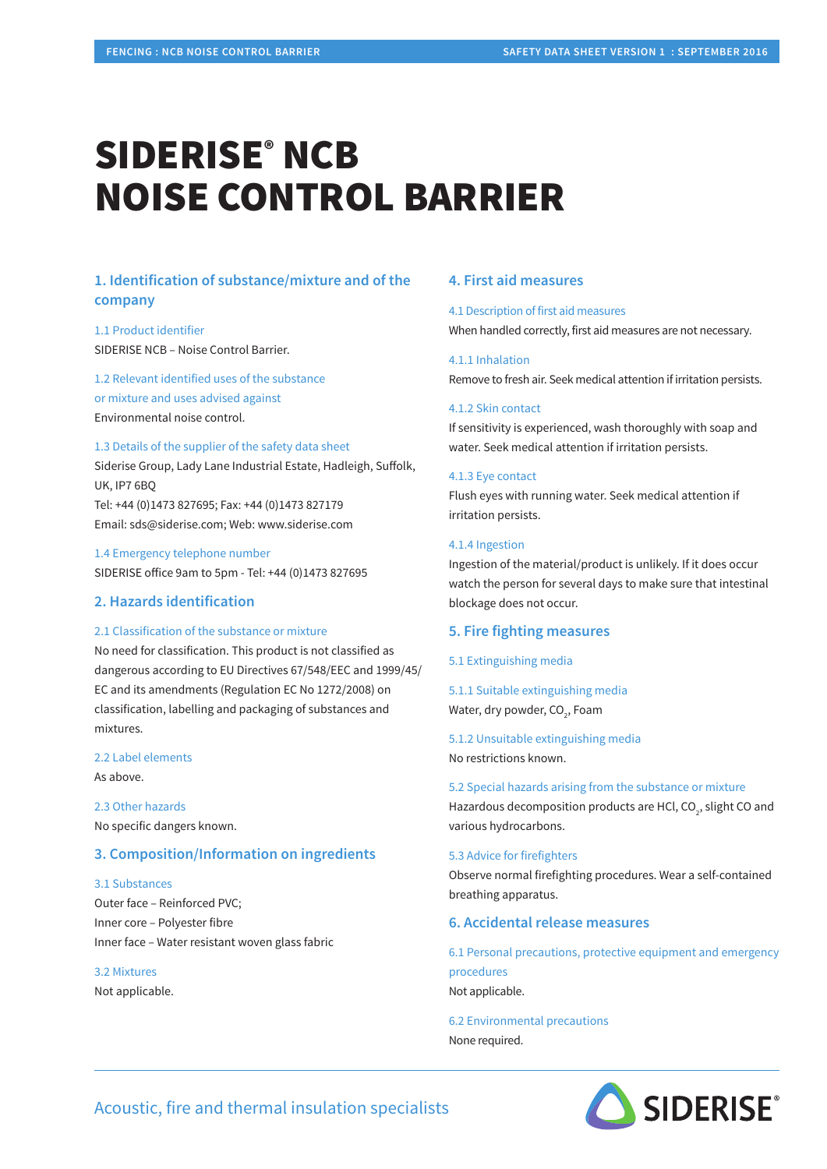# SIDERISE® NCB NOISE CONTROL BARRIER

# **1. Identification of substance/mixture and of the company**

1.1 Product identifier SIDERISE NCB – Noise Control Barrier.

1.2 Relevant identified uses of the substance or mixture and uses advised against Environmental noise control.

#### 1.3 Details of the supplier of the safety data sheet

Siderise Group, Lady Lane Industrial Estate, Hadleigh, Suffolk, UK, IP7 6BQ Tel: +44 (0)1473 827695; Fax: +44 (0)1473 827179 Email: sds@siderise.com; Web: www.siderise.com

1.4 Emergency telephone number SIDERISE office 9am to 5pm - Tel: +44 (0)1473 827695

# **2. Hazards identification**

### 2.1 Classification of the substance or mixture

No need for classification. This product is not classified as dangerous according to EU Directives 67/548/EEC and 1999/45/ EC and its amendments (Regulation EC No 1272/2008) on classification, labelling and packaging of substances and mixtures.

# 2.2 Label elements

As above.

2.3 Other hazards No specific dangers known.

## **3. Composition/Information on ingredients**

#### 3.1 Substances

Outer face – Reinforced PVC; Inner core – Polyester fibre Inner face – Water resistant woven glass fabric

3.2 Mixtures

Not applicable.

# **4. First aid measures**

4.1 Description of first aid measures When handled correctly, first aid measures are not necessary.

4.1.1 Inhalation

Remove to fresh air. Seek medical attention if irritation persists.

#### 4.1.2 Skin contact

If sensitivity is experienced, wash thoroughly with soap and water. Seek medical attention if irritation persists.

#### 4.1.3 Eye contact

Flush eyes with running water. Seek medical attention if irritation persists.

## 4.1.4 Ingestion

Ingestion of the material/product is unlikely. If it does occur watch the person for several days to make sure that intestinal blockage does not occur.

# **5. Fire fighting measures**

5.1 Extinguishing media

5.1.1 Suitable extinguishing media Water, dry powder, CO<sub>2</sub>, Foam

5.1.2 Unsuitable extinguishing media No restrictions known.

5.2 Special hazards arising from the substance or mixture Hazardous decomposition products are HCl, CO<sub>2</sub>, slight CO and various hydrocarbons.

#### 5.3 Advice for firefighters

Observe normal firefighting procedures. Wear a self-contained breathing apparatus.

# **6. Accidental release measures**

6.1 Personal precautions, protective equipment and emergency procedures Not applicable.

6.2 Environmental precautions None required.



# Acoustic, fire and thermal insulation specialists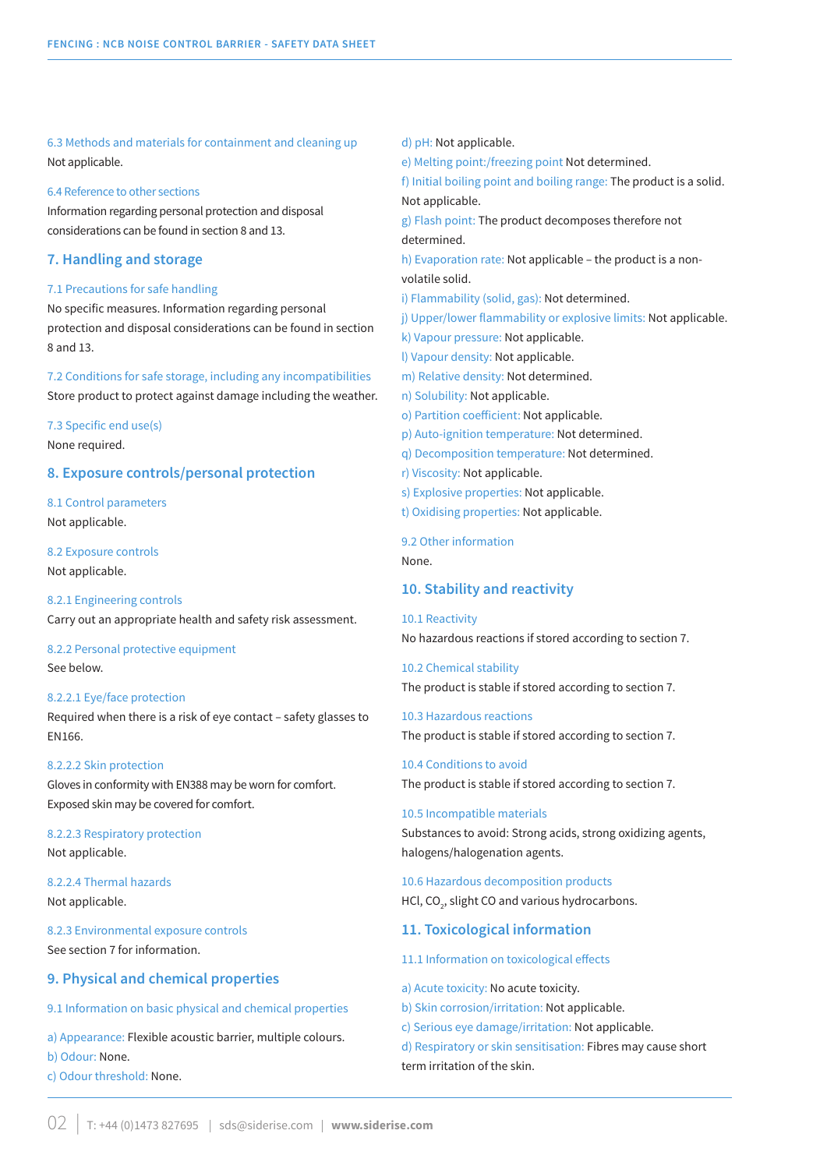6.3 Methods and materials for containment and cleaning up Not applicable.

## 6.4 Reference to other sections

Information regarding personal protection and disposal considerations can be found in section 8 and 13.

# **7. Handling and storage**

#### 7.1 Precautions for safe handling

No specific measures. Information regarding personal protection and disposal considerations can be found in section 8 and 13.

7.2 Conditions for safe storage, including any incompatibilities Store product to protect against damage including the weather.

7.3 Specific end use(s) None required.

## **8. Exposure controls/personal protection**

8.1 Control parameters Not applicable.

8.2 Exposure controls

Not applicable.

8.2.1 Engineering controls Carry out an appropriate health and safety risk assessment.

# 8.2.2 Personal protective equipment See below.

#### 8.2.2.1 Eye/face protection

Required when there is a risk of eye contact – safety glasses to EN166.

#### 8.2.2.2 Skin protection

Gloves in conformity with EN388 may be worn for comfort. Exposed skin may be covered for comfort.

# 8.2.2.3 Respiratory protection Not applicable.

8.2.2.4 Thermal hazards Not applicable.

8.2.3 Environmental exposure controls See section 7 for information.

# **9. Physical and chemical properties**

9.1 Information on basic physical and chemical properties

a) Appearance: Flexible acoustic barrier, multiple colours. b) Odour: None.

c) Odour threshold: None.

d) pH: Not applicable.

e) Melting point:/freezing point Not determined.

f) Initial boiling point and boiling range: The product is a solid. Not applicable.

g) Flash point: The product decomposes therefore not determined.

h) Evaporation rate: Not applicable – the product is a nonvolatile solid.

- i) Flammability (solid, gas): Not determined.
- j) Upper/lower flammability or explosive limits: Not applicable.
- k) Vapour pressure: Not applicable.
- l) Vapour density: Not applicable.
- m) Relative density: Not determined.
- n) Solubility: Not applicable.
- o) Partition coefficient: Not applicable.
- p) Auto-ignition temperature: Not determined.
- q) Decomposition temperature: Not determined.
- r) Viscosity: Not applicable.
- s) Explosive properties: Not applicable.
- t) Oxidising properties: Not applicable.

9.2 Other information None.

## **10. Stability and reactivity**

10.1 Reactivity No hazardous reactions if stored according to section 7.

10.2 Chemical stability The product is stable if stored according to section 7.

10.3 Hazardous reactions The product is stable if stored according to section 7.

10.4 Conditions to avoid The product is stable if stored according to section 7.

#### 10.5 Incompatible materials

Substances to avoid: Strong acids, strong oxidizing agents, halogens/halogenation agents.

10.6 Hazardous decomposition products HCl, CO $_{2}$ , slight CO and various hydrocarbons.

#### **11. Toxicological information**

#### 11.1 Information on toxicological effects

a) Acute toxicity: No acute toxicity.

- b) Skin corrosion/irritation: Not applicable.
- c) Serious eye damage/irritation: Not applicable.

d) Respiratory or skin sensitisation: Fibres may cause short term irritation of the skin.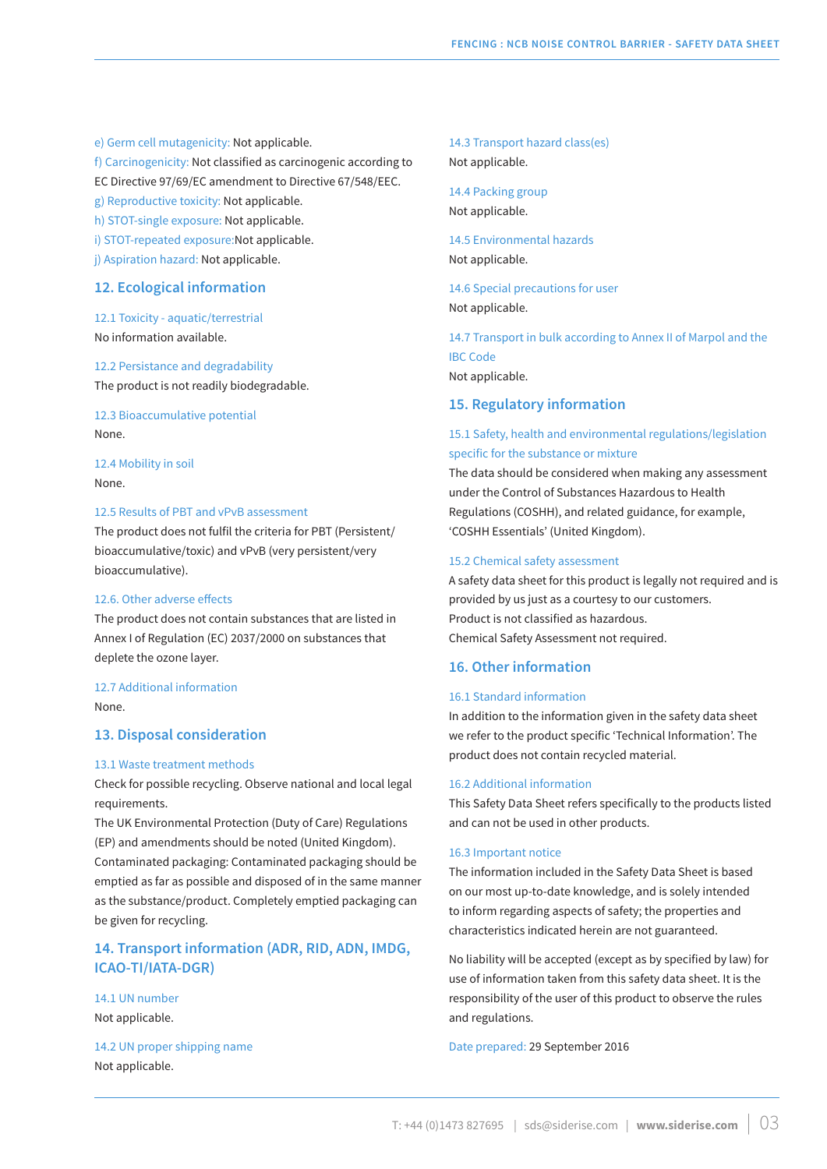e) Germ cell mutagenicity: Not applicable. f) Carcinogenicity: Not classified as carcinogenic according to EC Directive 97/69/EC amendment to Directive 67/548/EEC. g) Reproductive toxicity: Not applicable. h) STOT-single exposure: Not applicable. i) STOT-repeated exposure:Not applicable. j) Aspiration hazard: Not applicable.

### **12. Ecological information**

12.1 Toxicity - aquatic/terrestrial No information available.

12.2 Persistance and degradability The product is not readily biodegradable.

12.3 Bioaccumulative potential None.

12.4 Mobility in soil None.

#### 12.5 Results of PBT and vPvB assessment

The product does not fulfil the criteria for PBT (Persistent/ bioaccumulative/toxic) and vPvB (very persistent/very bioaccumulative).

## 12.6. Other adverse effects

The product does not contain substances that are listed in Annex I of Regulation (EC) 2037/2000 on substances that deplete the ozone layer.

#### 12.7 Additional information

None.

#### **13. Disposal consideration**

#### 13.1 Waste treatment methods

Check for possible recycling. Observe national and local legal requirements.

The UK Environmental Protection (Duty of Care) Regulations (EP) and amendments should be noted (United Kingdom). Contaminated packaging: Contaminated packaging should be emptied as far as possible and disposed of in the same manner as the substance/product. Completely emptied packaging can be given for recycling.

# **14. Transport information (ADR, RID, ADN, IMDG, ICAO-TI/IATA-DGR)**

14.1 UN number Not applicable.

14.2 UN proper shipping name Not applicable.

14.3 Transport hazard class(es) Not applicable.

14.4 Packing group Not applicable.

14.5 Environmental hazards Not applicable.

14.6 Special precautions for user Not applicable.

14.7 Transport in bulk according to Annex II of Marpol and the IBC Code Not applicable.

# **15. Regulatory information**

# 15.1 Safety, health and environmental regulations/legislation specific for the substance or mixture

The data should be considered when making any assessment under the Control of Substances Hazardous to Health Regulations (COSHH), and related guidance, for example, 'COSHH Essentials' (United Kingdom).

#### 15.2 Chemical safety assessment

A safety data sheet for this product is legally not required and is provided by us just as a courtesy to our customers. Product is not classified as hazardous. Chemical Safety Assessment not required.

# **16. Other information**

#### 16.1 Standard information

In addition to the information given in the safety data sheet we refer to the product specific 'Technical Information'. The product does not contain recycled material.

### 16.2 Additional information

This Safety Data Sheet refers specifically to the products listed and can not be used in other products.

#### 16.3 Important notice

The information included in the Safety Data Sheet is based on our most up-to-date knowledge, and is solely intended to inform regarding aspects of safety; the properties and characteristics indicated herein are not guaranteed.

No liability will be accepted (except as by specified by law) for use of information taken from this safety data sheet. It is the responsibility of the user of this product to observe the rules and regulations.

Date prepared: 29 September 2016